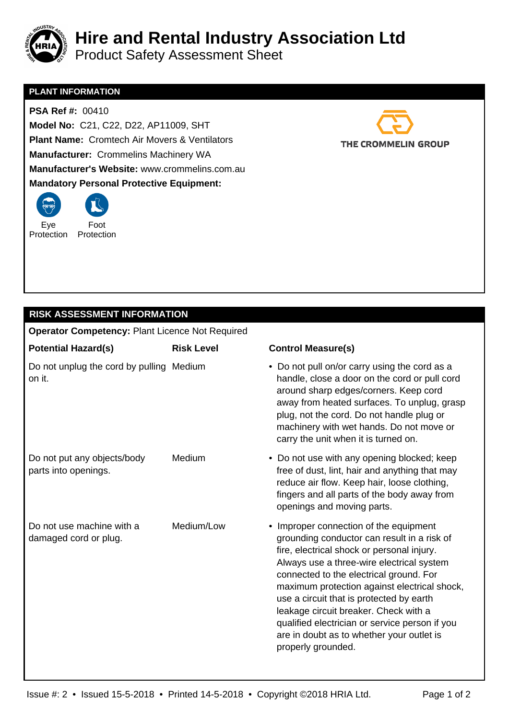

## **Hire and Rental Industry Association Ltd**

Product Safety Assessment Sheet

## **PLANT INFORMATION**

 **PSA Ref #:** 00410  **Model No:** C21, C22, D22, AP11009, SHT  **Plant Name:** Cromtech Air Movers & Ventilators  **Manufacturer:** Crommelins Machinery WA  **Manufacturer's Website:** www.crommelins.com.au  **Mandatory Personal Protective Equipment:** 



Eye Foot Protection Protection

## THE CROMMELIN GROUP

## **RISK ASSESSMENT INFORMATION**

| <b>Operator Competency: Plant Licence Not Required</b> |                   |                                                                                                                                                                                                                                                                                                                                                                                                                                                                                       |  |
|--------------------------------------------------------|-------------------|---------------------------------------------------------------------------------------------------------------------------------------------------------------------------------------------------------------------------------------------------------------------------------------------------------------------------------------------------------------------------------------------------------------------------------------------------------------------------------------|--|
| <b>Potential Hazard(s)</b>                             | <b>Risk Level</b> | <b>Control Measure(s)</b>                                                                                                                                                                                                                                                                                                                                                                                                                                                             |  |
| Do not unplug the cord by pulling Medium<br>on it.     |                   | • Do not pull on/or carry using the cord as a<br>handle, close a door on the cord or pull cord<br>around sharp edges/corners. Keep cord<br>away from heated surfaces. To unplug, grasp<br>plug, not the cord. Do not handle plug or<br>machinery with wet hands. Do not move or<br>carry the unit when it is turned on.                                                                                                                                                               |  |
| Do not put any objects/body<br>parts into openings.    | Medium            | • Do not use with any opening blocked; keep<br>free of dust, lint, hair and anything that may<br>reduce air flow. Keep hair, loose clothing,<br>fingers and all parts of the body away from<br>openings and moving parts.                                                                                                                                                                                                                                                             |  |
| Do not use machine with a<br>damaged cord or plug.     | Medium/Low        | • Improper connection of the equipment<br>grounding conductor can result in a risk of<br>fire, electrical shock or personal injury.<br>Always use a three-wire electrical system<br>connected to the electrical ground. For<br>maximum protection against electrical shock,<br>use a circuit that is protected by earth<br>leakage circuit breaker. Check with a<br>qualified electrician or service person if you<br>are in doubt as to whether your outlet is<br>properly grounded. |  |